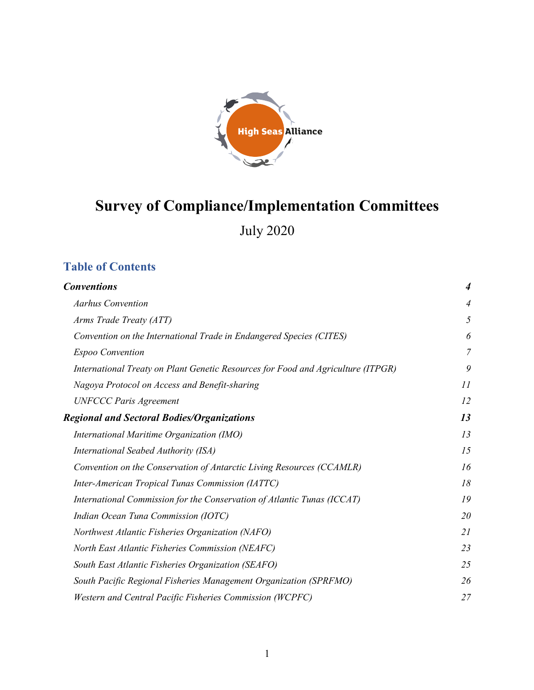

# **Survey of Compliance/Implementation Committees**

July 2020

# **Table of Contents**

| <b>Conventions</b>                                                               |                |
|----------------------------------------------------------------------------------|----------------|
| <b>Aarhus Convention</b>                                                         | $\overline{4}$ |
| Arms Trade Treaty (ATT)                                                          | 5              |
| Convention on the International Trade in Endangered Species (CITES)              | 6              |
| <b>Espoo Convention</b>                                                          | $\overline{7}$ |
| International Treaty on Plant Genetic Resources for Food and Agriculture (ITPGR) | 9              |
| Nagoya Protocol on Access and Benefit-sharing                                    | II             |
| <b>UNFCCC Paris Agreement</b>                                                    | 12             |
| <b>Regional and Sectoral Bodies/Organizations</b>                                | 13             |
| International Maritime Organization (IMO)                                        | 13             |
| International Seabed Authority (ISA)                                             | 15             |
| Convention on the Conservation of Antarctic Living Resources (CCAMLR)            | 16             |
| Inter-American Tropical Tunas Commission (IATTC)                                 | 18             |
| International Commission for the Conservation of Atlantic Tunas (ICCAT)          | 19             |
| Indian Ocean Tuna Commission (IOTC)                                              | 20             |
| Northwest Atlantic Fisheries Organization (NAFO)                                 | 21             |
| North East Atlantic Fisheries Commission (NEAFC)                                 | 23             |
| South East Atlantic Fisheries Organization (SEAFO)                               | 25             |
| South Pacific Regional Fisheries Management Organization (SPRFMO)                | 26             |
| Western and Central Pacific Fisheries Commission (WCPFC)                         | 27             |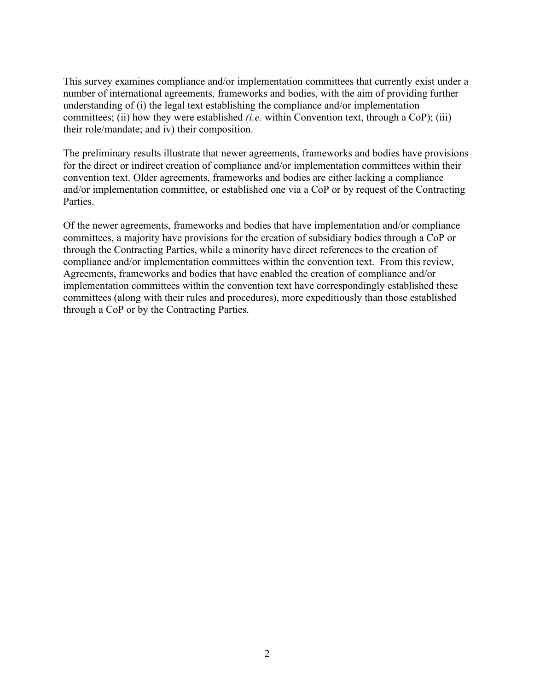This survey examines compliance and/or implementation committees that currently exist under a number of international agreements, frameworks and bodies, with the aim of providing further understanding of (i) the legal text establishing the compliance and/or implementation committees; (ii) how they were established *(i.e.* within Convention text, through a CoP); (iii) their role/mandate; and iv) their composition.

The preliminary results illustrate that newer agreements, frameworks and bodies have provisions for the direct or indirect creation of compliance and/or implementation committees within their convention text. Older agreements, frameworks and bodies are either lacking a compliance and/or implementation committee, or established one via a CoP or by request of the Contracting Parties.

Of the newer agreements, frameworks and bodies that have implementation and/or compliance committees, a majority have provisions for the creation of subsidiary bodies through a CoP or through the Contracting Parties, while a minority have direct references to the creation of compliance and/or implementation committees within the convention text. From this review, Agreements, frameworks and bodies that have enabled the creation of compliance and/or implementation committees within the convention text have correspondingly established these committees (along with their rules and procedures), more expeditiously than those established through a CoP or by the Contracting Parties.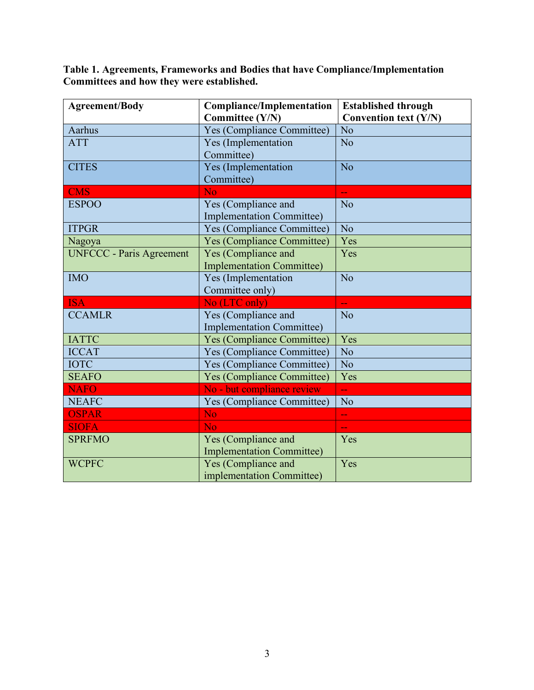**Table 1. Agreements, Frameworks and Bodies that have Compliance/Implementation Committees and how they were established.** 

| <b>Agreement/Body</b>           | <b>Compliance/Implementation</b><br>Committee (Y/N) | <b>Established through</b><br><b>Convention text (Y/N)</b> |
|---------------------------------|-----------------------------------------------------|------------------------------------------------------------|
| Aarhus                          | Yes (Compliance Committee)                          | N <sub>o</sub>                                             |
| <b>ATT</b>                      | Yes (Implementation                                 | N <sub>o</sub>                                             |
|                                 | Committee)                                          |                                                            |
| <b>CITES</b>                    | Yes (Implementation                                 | N <sub>o</sub>                                             |
|                                 | Committee)                                          |                                                            |
| <b>CMS</b>                      | <b>No</b>                                           | ш.                                                         |
| <b>ESPOO</b>                    | Yes (Compliance and                                 | N <sub>o</sub>                                             |
|                                 | <b>Implementation Committee)</b>                    |                                                            |
| <b>ITPGR</b>                    | Yes (Compliance Committee)                          | N <sub>o</sub>                                             |
| Nagoya                          | <b>Yes (Compliance Committee)</b>                   | Yes                                                        |
| <b>UNFCCC - Paris Agreement</b> | Yes (Compliance and                                 | Yes                                                        |
|                                 | <b>Implementation Committee)</b>                    |                                                            |
| <b>IMO</b>                      | Yes (Implementation                                 | No                                                         |
|                                 | Committee only)                                     |                                                            |
| <b>ISA</b>                      | No (LTC only)                                       | 44                                                         |
| <b>CCAMLR</b>                   | Yes (Compliance and                                 | N <sub>o</sub>                                             |
|                                 | <b>Implementation Committee)</b>                    |                                                            |
| <b>IATTC</b>                    | <b>Yes (Compliance Committee)</b>                   | Yes                                                        |
| <b>ICCAT</b>                    | Yes (Compliance Committee)                          | N <sub>o</sub>                                             |
| <b>IOTC</b>                     | Yes (Compliance Committee)                          | N <sub>o</sub>                                             |
| <b>SEAFO</b>                    | <b>Yes (Compliance Committee)</b>                   | Yes                                                        |
| <b>NAFO</b>                     | No - but compliance review                          | Ξ.                                                         |
| <b>NEAFC</b>                    | Yes (Compliance Committee)                          | N <sub>o</sub>                                             |
| <b>OSPAR</b>                    | <b>No</b>                                           | --                                                         |
| <b>SIOFA</b>                    | <b>No</b>                                           | $\overline{\phantom{a}}$                                   |
| <b>SPRFMO</b>                   | Yes (Compliance and                                 | Yes                                                        |
|                                 | <b>Implementation Committee)</b>                    |                                                            |
| <b>WCPFC</b>                    | Yes (Compliance and                                 | Yes                                                        |
|                                 | implementation Committee)                           |                                                            |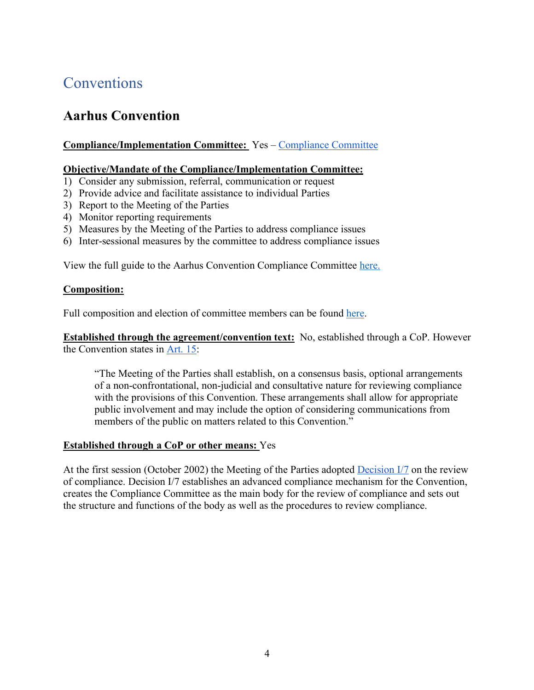# **Conventions**

# **Aarhus Convention**

### **Compliance/Implementation Committee:** Yes – Compliance Committee

#### **Objective/Mandate of the Compliance/Implementation Committee:**

- 1) Consider any submission, referral, communication or request
- 2) Provide advice and facilitate assistance to individual Parties
- 3) Report to the Meeting of the Parties
- 4) Monitor reporting requirements
- 5) Measures by the Meeting of the Parties to address compliance issues
- 6) Inter-sessional measures by the committee to address compliance issues

View the full guide to the Aarhus Convention Compliance Committee here.

#### **Composition:**

Full composition and election of committee members can be found here.

**Established through the agreement/convention text:** No, established through a CoP. However the Convention states in Art. 15:

"The Meeting of the Parties shall establish, on a consensus basis, optional arrangements of a non-confrontational, non-judicial and consultative nature for reviewing compliance with the provisions of this Convention. These arrangements shall allow for appropriate public involvement and may include the option of considering communications from members of the public on matters related to this Convention."

### **Established through a CoP or other means:** Yes

At the first session (October 2002) the Meeting of the Parties adopted Decision I/7 on the review of compliance. Decision I/7 establishes an advanced compliance mechanism for the Convention, creates the Compliance Committee as the main body for the review of compliance and sets out the structure and functions of the body as well as the procedures to review compliance.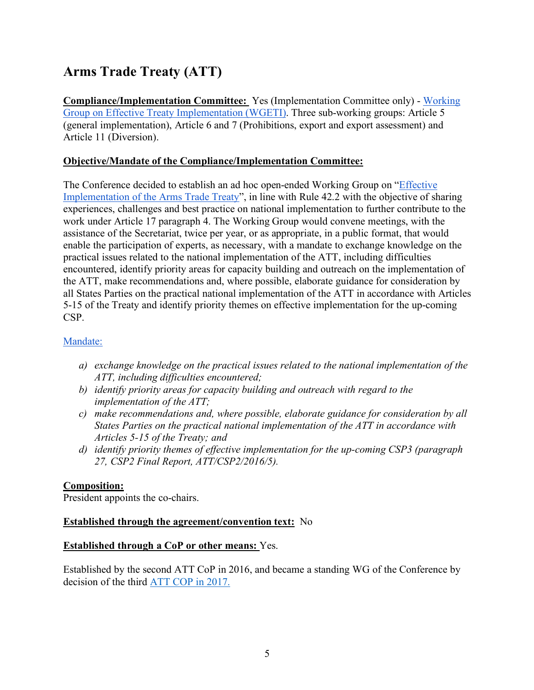# **Arms Trade Treaty (ATT)**

**Compliance/Implementation Committee:** Yes (Implementation Committee only) - Working Group on Effective Treaty Implementation (WGETI). Three sub-working groups: Article 5 (general implementation), Article 6 and 7 (Prohibitions, export and export assessment) and Article 11 (Diversion).

### **Objective/Mandate of the Compliance/Implementation Committee:**

The Conference decided to establish an ad hoc open-ended Working Group on "Effective Implementation of the Arms Trade Treaty", in line with Rule 42.2 with the objective of sharing experiences, challenges and best practice on national implementation to further contribute to the work under Article 17 paragraph 4. The Working Group would convene meetings, with the assistance of the Secretariat, twice per year, or as appropriate, in a public format, that would enable the participation of experts, as necessary, with a mandate to exchange knowledge on the practical issues related to the national implementation of the ATT, including difficulties encountered, identify priority areas for capacity building and outreach on the implementation of the ATT, make recommendations and, where possible, elaborate guidance for consideration by all States Parties on the practical national implementation of the ATT in accordance with Articles 5-15 of the Treaty and identify priority themes on effective implementation for the up-coming CSP.

### Mandate:

- *a) exchange knowledge on the practical issues related to the national implementation of the ATT, including difficulties encountered;*
- *b) identify priority areas for capacity building and outreach with regard to the implementation of the ATT;*
- *c) make recommendations and, where possible, elaborate guidance for consideration by all States Parties on the practical national implementation of the ATT in accordance with Articles 5-15 of the Treaty; and*
- *d) identify priority themes of effective implementation for the up-coming CSP3 (paragraph 27, CSP2 Final Report, ATT/CSP2/2016/5).*

### **Composition:**

President appoints the co-chairs.

### **Established through the agreement/convention text:** No

### **Established through a CoP or other means:** Yes.

Established by the second ATT CoP in 2016, and became a standing WG of the Conference by decision of the third ATT COP in 2017.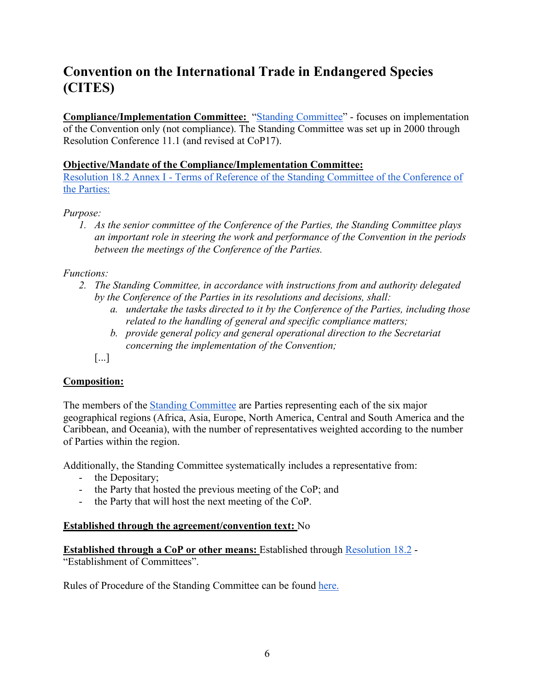# **Convention on the International Trade in Endangered Species (CITES)**

**Compliance/Implementation Committee:** "Standing Committee" - focuses on implementation of the Convention only (not compliance). The Standing Committee was set up in 2000 through Resolution Conference 11.1 (and revised at CoP17).

#### **Objective/Mandate of the Compliance/Implementation Committee:**

Resolution 18.2 Annex I - Terms of Reference of the Standing Committee of the Conference of the Parties:

### *Purpose:*

*1. As the senior committee of the Conference of the Parties, the Standing Committee plays an important role in steering the work and performance of the Convention in the periods between the meetings of the Conference of the Parties.*

### *Functions:*

- *2. The Standing Committee, in accordance with instructions from and authority delegated by the Conference of the Parties in its resolutions and decisions, shall:*
	- *a. undertake the tasks directed to it by the Conference of the Parties, including those related to the handling of general and specific compliance matters;*
	- *b. provide general policy and general operational direction to the Secretariat concerning the implementation of the Convention;*
	- [...]

### **Composition:**

The members of the **Standing Committee** are Parties representing each of the six major geographical regions (Africa, Asia, Europe, North America, Central and South America and the Caribbean, and Oceania), with the number of representatives weighted according to the number of Parties within the region.

Additionally, the Standing Committee systematically includes a representative from:

- the Depositary;
- the Party that hosted the previous meeting of the CoP; and
- the Party that will host the next meeting of the CoP.

#### **Established through the agreement/convention text:** No

**Established through a CoP or other means:** Established through Resolution 18.2 -

"Establishment of Committees".

Rules of Procedure of the Standing Committee can be found here.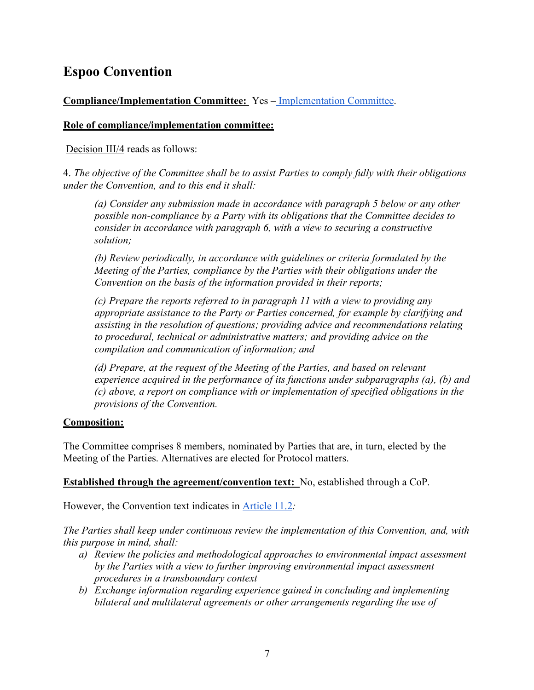# **Espoo Convention**

**Compliance/Implementation Committee:** Yes – Implementation Committee.

## **Role of compliance/implementation committee:**

Decision III/4 reads as follows:

4. *The objective of the Committee shall be to assist Parties to comply fully with their obligations under the Convention, and to this end it shall:*

*(a) Consider any submission made in accordance with paragraph 5 below or any other possible non-compliance by a Party with its obligations that the Committee decides to consider in accordance with paragraph 6, with a view to securing a constructive solution;*

*(b) Review periodically, in accordance with guidelines or criteria formulated by the Meeting of the Parties, compliance by the Parties with their obligations under the Convention on the basis of the information provided in their reports;*

*(c) Prepare the reports referred to in paragraph 11 with a view to providing any appropriate assistance to the Party or Parties concerned, for example by clarifying and assisting in the resolution of questions; providing advice and recommendations relating to procedural, technical or administrative matters; and providing advice on the compilation and communication of information; and*

*(d) Prepare, at the request of the Meeting of the Parties, and based on relevant experience acquired in the performance of its functions under subparagraphs (a), (b) and (c) above, a report on compliance with or implementation of specified obligations in the provisions of the Convention.*

# **Composition:**

The Committee comprises 8 members, nominated by Parties that are, in turn, elected by the Meeting of the Parties. Alternatives are elected for Protocol matters.

**Established through the agreement/convention text:** No, established through a CoP.

However, the Convention text indicates in Article 11.2*:* 

*The Parties shall keep under continuous review the implementation of this Convention, and, with this purpose in mind, shall:* 

- *a) Review the policies and methodological approaches to environmental impact assessment by the Parties with a view to further improving environmental impact assessment procedures in a transboundary context*
- *b) Exchange information regarding experience gained in concluding and implementing bilateral and multilateral agreements or other arrangements regarding the use of*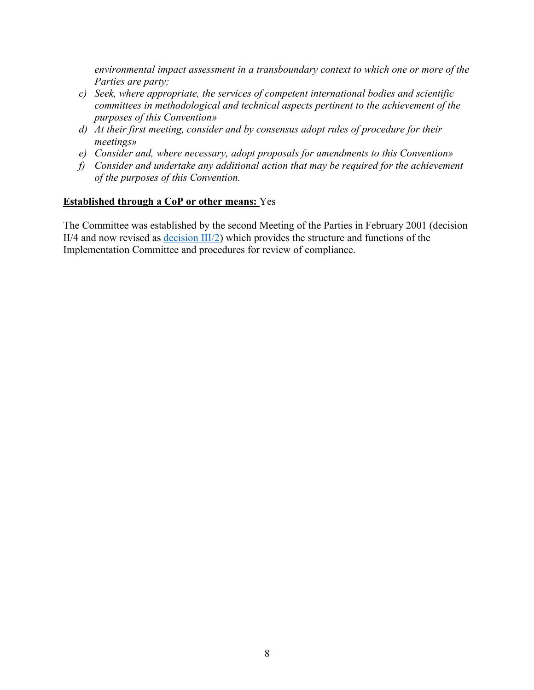*environmental impact assessment in a transboundary context to which one or more of the Parties are party;* 

- *c) Seek, where appropriate, the services of competent international bodies and scientific committees in methodological and technical aspects pertinent to the achievement of the purposes of this Convention»*
- *d) At their first meeting, consider and by consensus adopt rules of procedure for their meetings»*
- *e) Consider and, where necessary, adopt proposals for amendments to this Convention»*
- *f) Consider and undertake any additional action that may be required for the achievement of the purposes of this Convention.*

#### **Established through a CoP or other means:** Yes

The Committee was established by the second Meeting of the Parties in February 2001 (decision II/4 and now revised as  $\frac{\text{decision III}/2}{\text{N}}$  which provides the structure and functions of the Implementation Committee and procedures for review of compliance.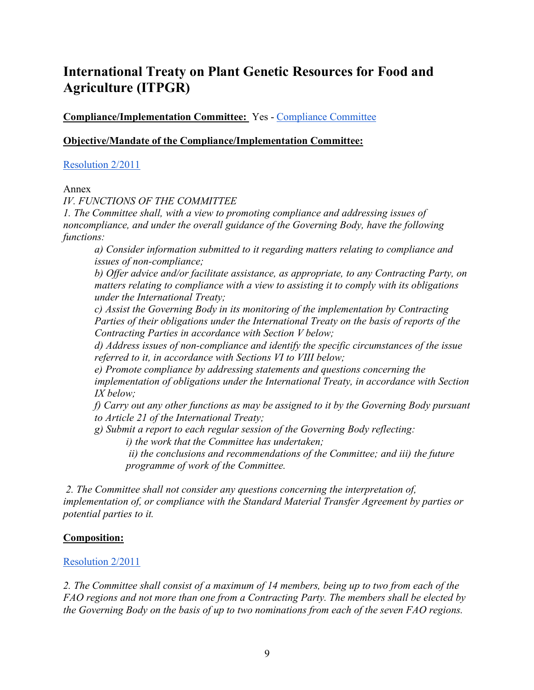# **International Treaty on Plant Genetic Resources for Food and Agriculture (ITPGR)**

**Compliance/Implementation Committee:** Yes - Compliance Committee

#### **Objective/Mandate of the Compliance/Implementation Committee:**

#### Resolution 2/2011

#### Annex

*IV. FUNCTIONS OF THE COMMITTEE* 

*1. The Committee shall, with a view to promoting compliance and addressing issues of noncompliance, and under the overall guidance of the Governing Body, have the following functions:* 

*a) Consider information submitted to it regarding matters relating to compliance and issues of non-compliance;* 

*b) Offer advice and/or facilitate assistance, as appropriate, to any Contracting Party, on matters relating to compliance with a view to assisting it to comply with its obligations under the International Treaty;* 

*c) Assist the Governing Body in its monitoring of the implementation by Contracting Parties of their obligations under the International Treaty on the basis of reports of the Contracting Parties in accordance with Section V below;* 

*d) Address issues of non-compliance and identify the specific circumstances of the issue referred to it, in accordance with Sections VI to VIII below;* 

*e) Promote compliance by addressing statements and questions concerning the implementation of obligations under the International Treaty, in accordance with Section IX below;* 

*f) Carry out any other functions as may be assigned to it by the Governing Body pursuant to Article 21 of the International Treaty;* 

*g) Submit a report to each regular session of the Governing Body reflecting:* 

*i) the work that the Committee has undertaken;*

*ii) the conclusions and recommendations of the Committee; and iii) the future programme of work of the Committee.*

*2. The Committee shall not consider any questions concerning the interpretation of, implementation of, or compliance with the Standard Material Transfer Agreement by parties or potential parties to it.*

### **Composition:**

#### Resolution 2/2011

*2. The Committee shall consist of a maximum of 14 members, being up to two from each of the FAO regions and not more than one from a Contracting Party. The members shall be elected by the Governing Body on the basis of up to two nominations from each of the seven FAO regions.*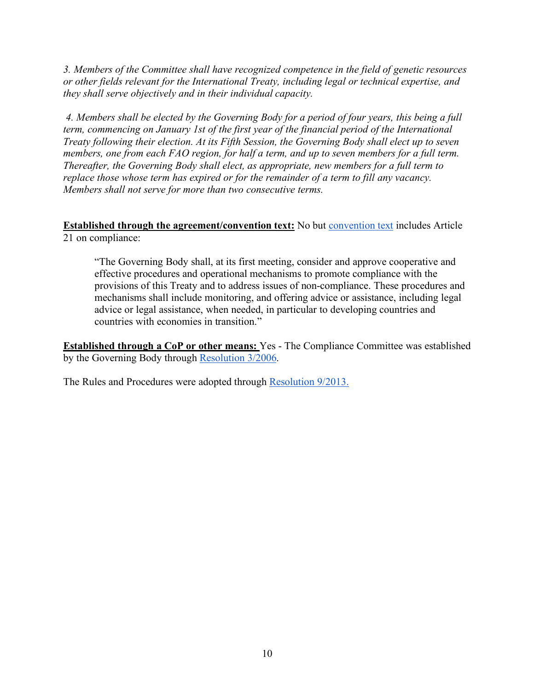*3. Members of the Committee shall have recognized competence in the field of genetic resources or other fields relevant for the International Treaty, including legal or technical expertise, and they shall serve objectively and in their individual capacity.*

*4. Members shall be elected by the Governing Body for a period of four years, this being a full term, commencing on January 1st of the first year of the financial period of the International Treaty following their election. At its Fifth Session, the Governing Body shall elect up to seven members, one from each FAO region, for half a term, and up to seven members for a full term. Thereafter, the Governing Body shall elect, as appropriate, new members for a full term to replace those whose term has expired or for the remainder of a term to fill any vacancy. Members shall not serve for more than two consecutive terms.*

**Established through the agreement/convention text:** No but convention text includes Article 21 on compliance:

"The Governing Body shall, at its first meeting, consider and approve cooperative and effective procedures and operational mechanisms to promote compliance with the provisions of this Treaty and to address issues of non-compliance. These procedures and mechanisms shall include monitoring, and offering advice or assistance, including legal advice or legal assistance, when needed, in particular to developing countries and countries with economies in transition."

**Established through a CoP or other means:** Yes - The Compliance Committee was established by the Governing Body through Resolution 3/2006.

The Rules and Procedures were adopted through Resolution 9/2013.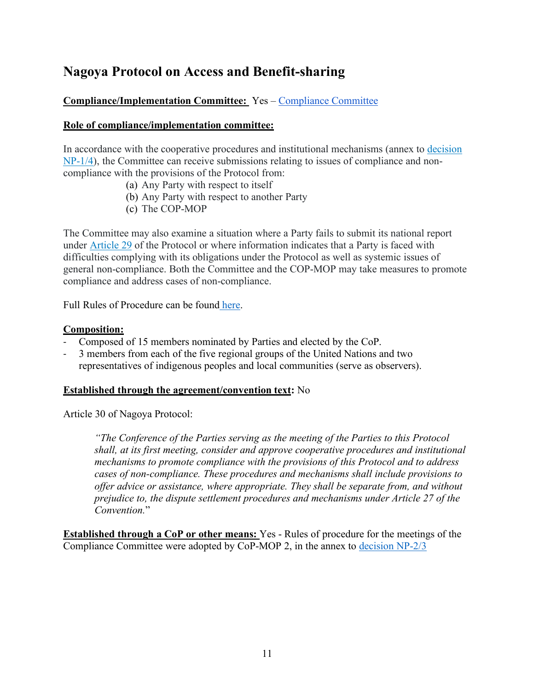# **Nagoya Protocol on Access and Benefit-sharing**

### **Compliance/Implementation Committee:** Yes – Compliance Committee

#### **Role of compliance/implementation committee:**

In accordance with the cooperative procedures and institutional mechanisms (annex to decision NP-1/4), the Committee can receive submissions relating to issues of compliance and noncompliance with the provisions of the Protocol from:

- (a) Any Party with respect to itself
- (b) Any Party with respect to another Party
- (c) The COP-MOP

The Committee may also examine a situation where a Party fails to submit its national report under Article 29 of the Protocol or where information indicates that a Party is faced with difficulties complying with its obligations under the Protocol as well as systemic issues of general non-compliance. Both the Committee and the COP-MOP may take measures to promote compliance and address cases of non-compliance.

Full Rules of Procedure can be found here.

### **Composition:**

- Composed of 15 members nominated by Parties and elected by the CoP.
- 3 members from each of the five regional groups of the United Nations and two representatives of indigenous peoples and local communities (serve as observers).

#### **Established through the agreement/convention text:** No

Article 30 of Nagoya Protocol:

*"The Conference of the Parties serving as the meeting of the Parties to this Protocol shall, at its first meeting, consider and approve cooperative procedures and institutional mechanisms to promote compliance with the provisions of this Protocol and to address cases of non-compliance. These procedures and mechanisms shall include provisions to offer advice or assistance, where appropriate. They shall be separate from, and without prejudice to, the dispute settlement procedures and mechanisms under Article 27 of the Convention.*"

**Established through a CoP or other means:** Yes - Rules of procedure for the meetings of the Compliance Committee were adopted by CoP-MOP 2, in the annex to decision NP-2/3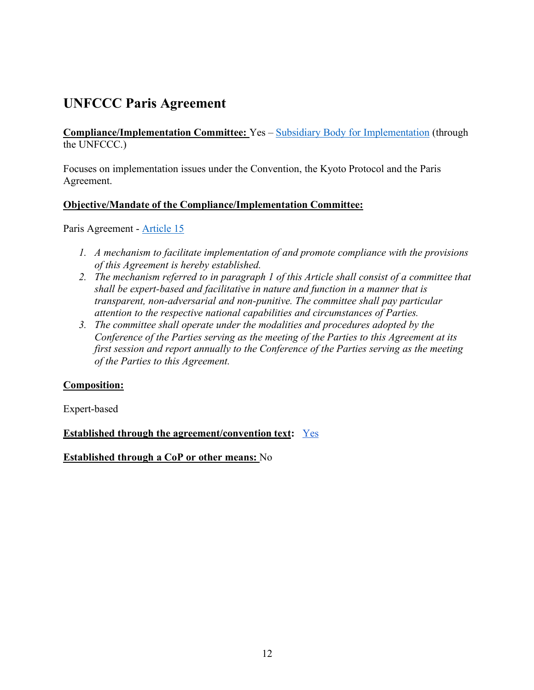# **UNFCCC Paris Agreement**

**Compliance/Implementation Committee:** Yes – Subsidiary Body for Implementation (through the UNFCCC.)

Focuses on implementation issues under the Convention, the Kyoto Protocol and the Paris Agreement.

### **Objective/Mandate of the Compliance/Implementation Committee:**

Paris Agreement - Article 15

- *1. A mechanism to facilitate implementation of and promote compliance with the provisions of this Agreement is hereby established.*
- *2. The mechanism referred to in paragraph 1 of this Article shall consist of a committee that shall be expert-based and facilitative in nature and function in a manner that is transparent, non-adversarial and non-punitive. The committee shall pay particular attention to the respective national capabilities and circumstances of Parties.*
- *3. The committee shall operate under the modalities and procedures adopted by the Conference of the Parties serving as the meeting of the Parties to this Agreement at its first session and report annually to the Conference of the Parties serving as the meeting of the Parties to this Agreement.*

### **Composition:**

Expert-based

#### **Established through the agreement/convention text:** Yes

**Established through a CoP or other means:** No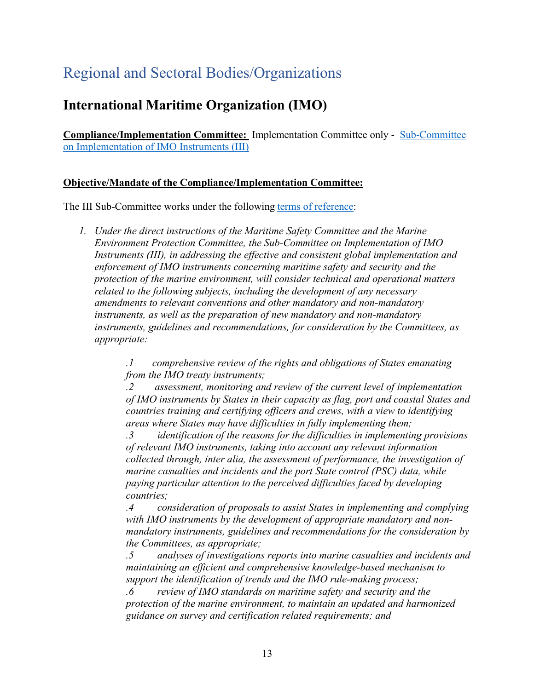# Regional and Sectoral Bodies/Organizations

# **International Maritime Organization (IMO)**

**Compliance/Implementation Committee:** Implementation Committee only - Sub-Committee on Implementation of IMO Instruments (III)

### **Objective/Mandate of the Compliance/Implementation Committee:**

The III Sub-Committee works under the following terms of reference:

*1. Under the direct instructions of the Maritime Safety Committee and the Marine Environment Protection Committee, the Sub-Committee on Implementation of IMO Instruments (III), in addressing the effective and consistent global implementation and enforcement of IMO instruments concerning maritime safety and security and the protection of the marine environment, will consider technical and operational matters related to the following subjects, including the development of any necessary amendments to relevant conventions and other mandatory and non-mandatory instruments, as well as the preparation of new mandatory and non-mandatory instruments, guidelines and recommendations, for consideration by the Committees, as appropriate:*

> *.1 comprehensive review of the rights and obligations of States emanating from the IMO treaty instruments;*

*.2 assessment, monitoring and review of the current level of implementation of IMO instruments by States in their capacity as flag, port and coastal States and countries training and certifying officers and crews, with a view to identifying areas where States may have difficulties in fully implementing them;*

*.3 identification of the reasons for the difficulties in implementing provisions of relevant IMO instruments, taking into account any relevant information collected through, inter alia, the assessment of performance, the investigation of marine casualties and incidents and the port State control (PSC) data, while paying particular attention to the perceived difficulties faced by developing countries;*

*.4 consideration of proposals to assist States in implementing and complying with IMO instruments by the development of appropriate mandatory and nonmandatory instruments, guidelines and recommendations for the consideration by the Committees, as appropriate;*

*.5 analyses of investigations reports into marine casualties and incidents and maintaining an efficient and comprehensive knowledge-based mechanism to support the identification of trends and the IMO rule-making process;*

*.6 review of IMO standards on maritime safety and security and the protection of the marine environment, to maintain an updated and harmonized guidance on survey and certification related requirements; and*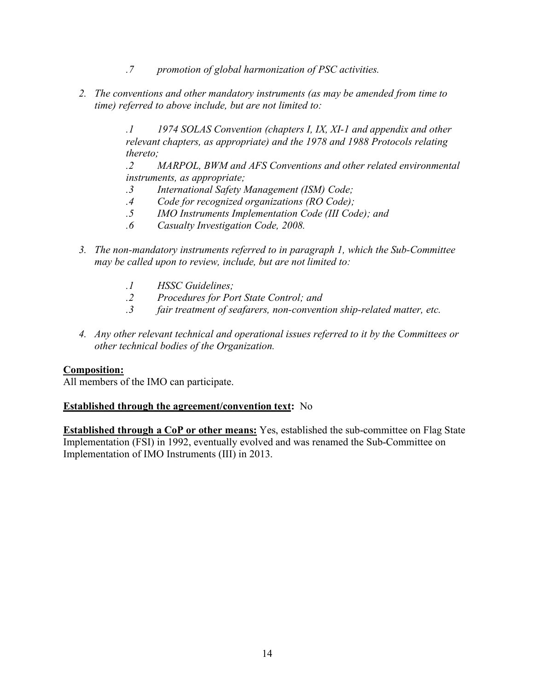- *.7 promotion of global harmonization of PSC activities.*
- *2. The conventions and other mandatory instruments (as may be amended from time to time) referred to above include, but are not limited to:*

*.1 1974 SOLAS Convention (chapters I, IX, XI-1 and appendix and other relevant chapters, as appropriate) and the 1978 and 1988 Protocols relating thereto;*

*.2 MARPOL, BWM and AFS Conventions and other related environmental instruments, as appropriate;*

- *.3 International Safety Management (ISM) Code;*
- *.4 Code for recognized organizations (RO Code);*
- *.5 IMO Instruments Implementation Code (III Code); and*
- *.6 Casualty Investigation Code, 2008.*
- *3. The non-mandatory instruments referred to in paragraph 1, which the Sub-Committee may be called upon to review, include, but are not limited to:*
	- *.1 HSSC Guidelines;*
	- *.2 Procedures for Port State Control; and*
	- *.3 fair treatment of seafarers, non-convention ship-related matter, etc.*
- *4. Any other relevant technical and operational issues referred to it by the Committees or other technical bodies of the Organization.*

#### **Composition:**

All members of the IMO can participate.

#### **Established through the agreement/convention text:** No

**Established through a CoP or other means:** Yes, established the sub-committee on Flag State Implementation (FSI) in 1992, eventually evolved and was renamed the Sub-Committee on Implementation of IMO Instruments (III) in 2013.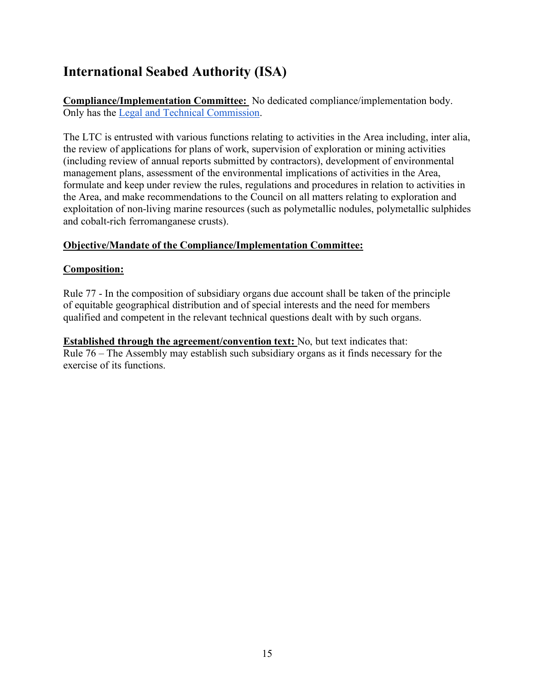# **International Seabed Authority (ISA)**

**Compliance/Implementation Committee:** No dedicated compliance/implementation body. Only has the Legal and Technical Commission.

The LTC is entrusted with various functions relating to activities in the Area including, inter alia, the review of applications for plans of work, supervision of exploration or mining activities (including review of annual reports submitted by contractors), development of environmental management plans, assessment of the environmental implications of activities in the Area, formulate and keep under review the rules, regulations and procedures in relation to activities in the Area, and make recommendations to the Council on all matters relating to exploration and exploitation of non-living marine resources (such as polymetallic nodules, polymetallic sulphides and cobalt-rich ferromanganese crusts).

## **Objective/Mandate of the Compliance/Implementation Committee:**

### **Composition:**

Rule 77 - In the composition of subsidiary organs due account shall be taken of the principle of equitable geographical distribution and of special interests and the need for members qualified and competent in the relevant technical questions dealt with by such organs.

**Established through the agreement/convention text:** No, but text indicates that: Rule 76 – The Assembly may establish such subsidiary organs as it finds necessary for the exercise of its functions.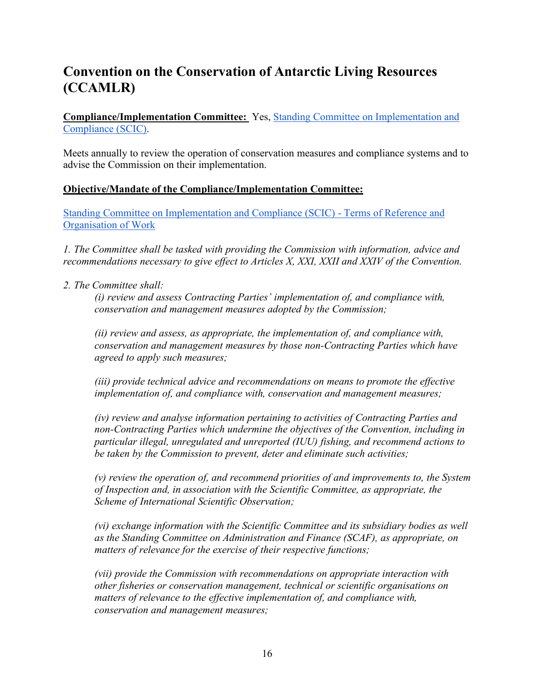# **Convention on the Conservation of Antarctic Living Resources (CCAMLR)**

**Compliance/Implementation Committee:** Yes, Standing Committee on Implementation and Compliance (SCIC).

Meets annually to review the operation of conservation measures and compliance systems and to advise the Commission on their implementation.

### **Objective/Mandate of the Compliance/Implementation Committee:**

Standing Committee on Implementation and Compliance (SCIC) - Terms of Reference and Organisation of Work

*1. The Committee shall be tasked with providing the Commission with information, advice and recommendations necessary to give effect to Articles X, XXI, XXII and XXIV of the Convention.* 

*2. The Committee shall:* 

*(i) review and assess Contracting Parties' implementation of, and compliance with, conservation and management measures adopted by the Commission;* 

*(ii) review and assess, as appropriate, the implementation of, and compliance with, conservation and management measures by those non-Contracting Parties which have agreed to apply such measures;* 

*(iii) provide technical advice and recommendations on means to promote the effective implementation of, and compliance with, conservation and management measures;* 

*(iv) review and analyse information pertaining to activities of Contracting Parties and non-Contracting Parties which undermine the objectives of the Convention, including in particular illegal, unregulated and unreported (IUU) fishing, and recommend actions to be taken by the Commission to prevent, deter and eliminate such activities;* 

*(v) review the operation of, and recommend priorities of and improvements to, the System of Inspection and, in association with the Scientific Committee, as appropriate, the Scheme of International Scientific Observation;* 

*(vi) exchange information with the Scientific Committee and its subsidiary bodies as well as the Standing Committee on Administration and Finance (SCAF), as appropriate, on matters of relevance for the exercise of their respective functions;* 

*(vii) provide the Commission with recommendations on appropriate interaction with other fisheries or conservation management, technical or scientific organisations on matters of relevance to the effective implementation of, and compliance with, conservation and management measures;*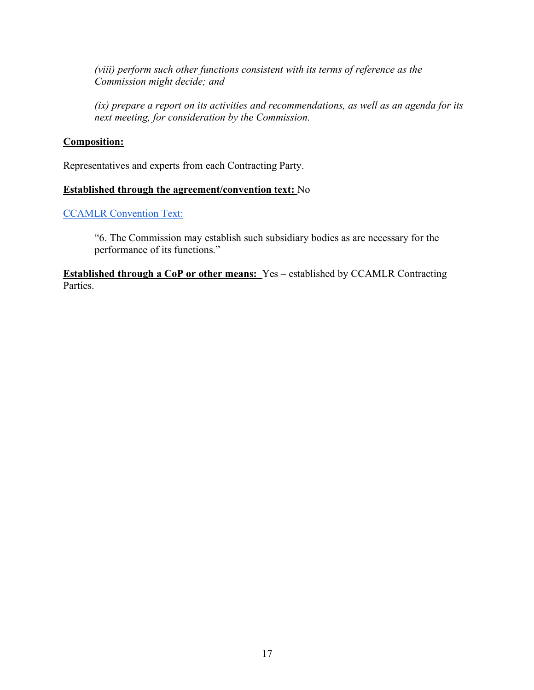*(viii) perform such other functions consistent with its terms of reference as the Commission might decide; and* 

*(ix) prepare a report on its activities and recommendations, as well as an agenda for its next meeting, for consideration by the Commission.*

### **Composition:**

Representatives and experts from each Contracting Party.

### **Established through the agreement/convention text:** No

CCAMLR Convention Text:

"6. The Commission may establish such subsidiary bodies as are necessary for the performance of its functions."

**Established through a CoP or other means:** Yes – established by CCAMLR Contracting Parties.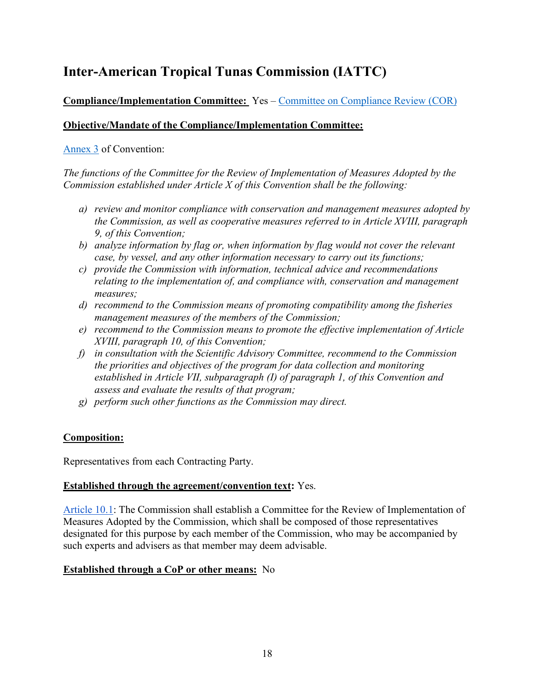# **Inter-American Tropical Tunas Commission (IATTC)**

**Compliance/Implementation Committee:** Yes – Committee on Compliance Review (COR)

## **Objective/Mandate of the Compliance/Implementation Committee:**

Annex 3 of Convention:

*The functions of the Committee for the Review of Implementation of Measures Adopted by the Commission established under Article X of this Convention shall be the following:* 

- *a) review and monitor compliance with conservation and management measures adopted by the Commission, as well as cooperative measures referred to in Article XVIII, paragraph 9, of this Convention;*
- *b) analyze information by flag or, when information by flag would not cover the relevant case, by vessel, and any other information necessary to carry out its functions;*
- *c) provide the Commission with information, technical advice and recommendations relating to the implementation of, and compliance with, conservation and management measures;*
- *d) recommend to the Commission means of promoting compatibility among the fisheries management measures of the members of the Commission;*
- *e) recommend to the Commission means to promote the effective implementation of Article XVIII, paragraph 10, of this Convention;*
- *f) in consultation with the Scientific Advisory Committee, recommend to the Commission the priorities and objectives of the program for data collection and monitoring established in Article VII, subparagraph (I) of paragraph 1, of this Convention and assess and evaluate the results of that program;*
- *g) perform such other functions as the Commission may direct.*

# **Composition:**

Representatives from each Contracting Party.

## **Established through the agreement/convention text:** Yes.

Article 10.1: The Commission shall establish a Committee for the Review of Implementation of Measures Adopted by the Commission, which shall be composed of those representatives designated for this purpose by each member of the Commission, who may be accompanied by such experts and advisers as that member may deem advisable.

## **Established through a CoP or other means:** No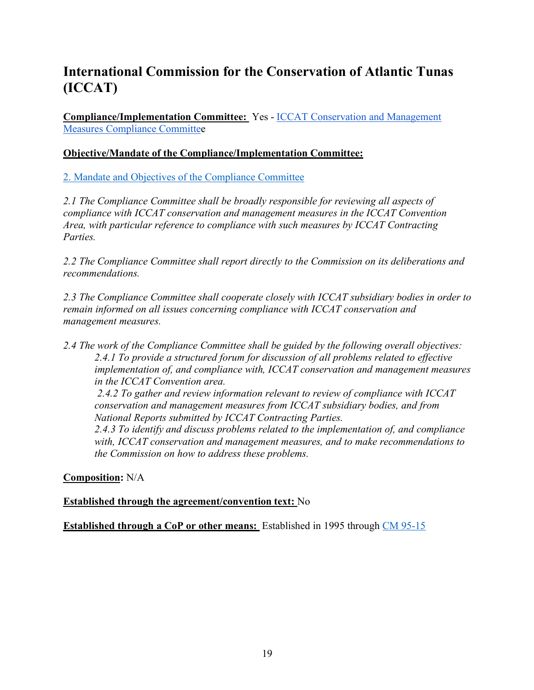# **International Commission for the Conservation of Atlantic Tunas (ICCAT)**

**Compliance/Implementation Committee:** Yes - ICCAT Conservation and Management Measures Compliance Committee

### **Objective/Mandate of the Compliance/Implementation Committee:**

2. Mandate and Objectives of the Compliance Committee

*2.1 The Compliance Committee shall be broadly responsible for reviewing all aspects of compliance with ICCAT conservation and management measures in the ICCAT Convention Area, with particular reference to compliance with such measures by ICCAT Contracting Parties.* 

*2.2 The Compliance Committee shall report directly to the Commission on its deliberations and recommendations.* 

*2.3 The Compliance Committee shall cooperate closely with ICCAT subsidiary bodies in order to remain informed on all issues concerning compliance with ICCAT conservation and management measures.* 

*2.4 The work of the Compliance Committee shall be guided by the following overall objectives: 2.4.1 To provide a structured forum for discussion of all problems related to effective implementation of, and compliance with, ICCAT conservation and management measures in the ICCAT Convention area. 2.4.2 To gather and review information relevant to review of compliance with ICCAT conservation and management measures from ICCAT subsidiary bodies, and from National Reports submitted by ICCAT Contracting Parties. 2.4.3 To identify and discuss problems related to the implementation of, and compliance with, ICCAT conservation and management measures, and to make recommendations to the Commission on how to address these problems.*

### **Composition:** N/A

### **Established through the agreement/convention text:** No

**Established through a CoP or other means:** Established in 1995 through CM 95-15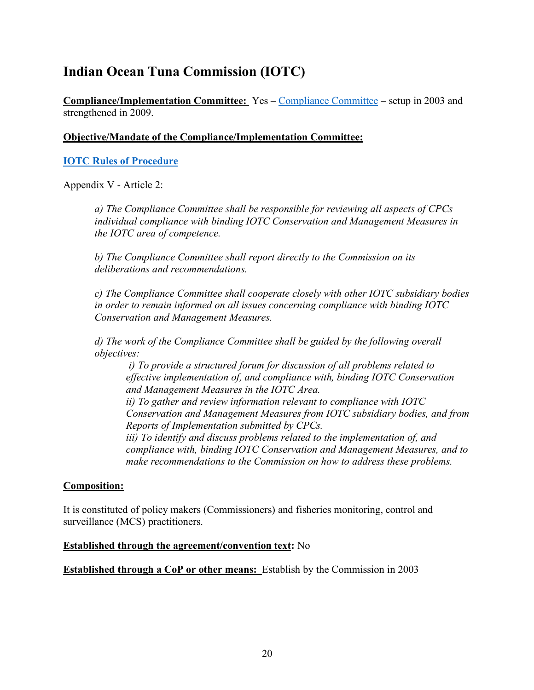# **Indian Ocean Tuna Commission (IOTC)**

**Compliance/Implementation Committee:** Yes – Compliance Committee – setup in 2003 and strengthened in 2009.

#### **Objective/Mandate of the Compliance/Implementation Committee:**

**IOTC Rules of Procedure**

Appendix V - Article 2:

*a) The Compliance Committee shall be responsible for reviewing all aspects of CPCs individual compliance with binding IOTC Conservation and Management Measures in the IOTC area of competence.* 

*b) The Compliance Committee shall report directly to the Commission on its deliberations and recommendations.*

*c) The Compliance Committee shall cooperate closely with other IOTC subsidiary bodies in order to remain informed on all issues concerning compliance with binding IOTC Conservation and Management Measures.* 

*d) The work of the Compliance Committee shall be guided by the following overall objectives:*

*i) To provide a structured forum for discussion of all problems related to effective implementation of, and compliance with, binding IOTC Conservation and Management Measures in the IOTC Area. ii) To gather and review information relevant to compliance with IOTC Conservation and Management Measures from IOTC subsidiary bodies, and from Reports of Implementation submitted by CPCs. iii) To identify and discuss problems related to the implementation of, and compliance with, binding IOTC Conservation and Management Measures, and to make recommendations to the Commission on how to address these problems.*

### **Composition:**

It is constituted of policy makers (Commissioners) and fisheries monitoring, control and surveillance (MCS) practitioners.

#### **Established through the agreement/convention text:** No

**Established through a CoP or other means:** Establish by the Commission in 2003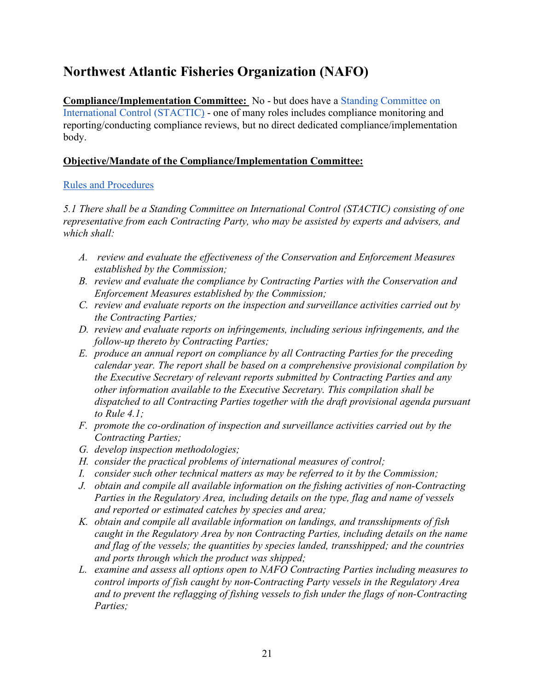# **Northwest Atlantic Fisheries Organization (NAFO)**

**Compliance/Implementation Committee:** No - but does have a Standing Committee on International Control (STACTIC) - one of many roles includes compliance monitoring and reporting/conducting compliance reviews, but no direct dedicated compliance/implementation body.

### **Objective/Mandate of the Compliance/Implementation Committee:**

### Rules and Procedures

*5.1 There shall be a Standing Committee on International Control (STACTIC) consisting of one representative from each Contracting Party, who may be assisted by experts and advisers, and which shall:*

- *A. review and evaluate the effectiveness of the Conservation and Enforcement Measures established by the Commission;*
- *B. review and evaluate the compliance by Contracting Parties with the Conservation and Enforcement Measures established by the Commission;*
- *C. review and evaluate reports on the inspection and surveillance activities carried out by the Contracting Parties;*
- *D. review and evaluate reports on infringements, including serious infringements, and the follow-up thereto by Contracting Parties;*
- *E. produce an annual report on compliance by all Contracting Parties for the preceding calendar year. The report shall be based on a comprehensive provisional compilation by the Executive Secretary of relevant reports submitted by Contracting Parties and any other information available to the Executive Secretary. This compilation shall be dispatched to all Contracting Parties together with the draft provisional agenda pursuant to Rule 4.1;*
- *F. promote the co-ordination of inspection and surveillance activities carried out by the Contracting Parties;*
- *G. develop inspection methodologies;*
- *H. consider the practical problems of international measures of control;*
- *I. consider such other technical matters as may be referred to it by the Commission;*
- *J. obtain and compile all available information on the fishing activities of non-Contracting Parties in the Regulatory Area, including details on the type, flag and name of vessels and reported or estimated catches by species and area;*
- *K. obtain and compile all available information on landings, and transshipments of fish caught in the Regulatory Area by non Contracting Parties, including details on the name and flag of the vessels; the quantities by species landed, transshipped; and the countries and ports through which the product was shipped;*
- *L. examine and assess all options open to NAFO Contracting Parties including measures to control imports of fish caught by non-Contracting Party vessels in the Regulatory Area and to prevent the reflagging of fishing vessels to fish under the flags of non-Contracting Parties;*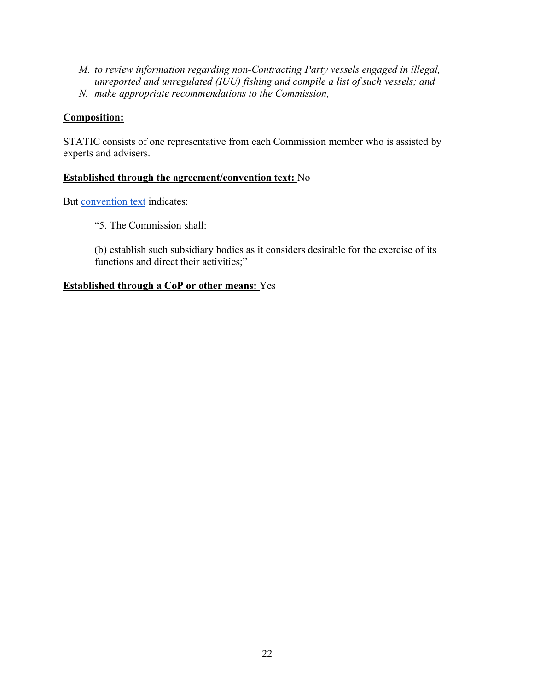- *M. to review information regarding non-Contracting Party vessels engaged in illegal, unreported and unregulated (IUU) fishing and compile a list of such vessels; and*
- *N. make appropriate recommendations to the Commission,*

#### **Composition:**

STATIC consists of one representative from each Commission member who is assisted by experts and advisers.

#### **Established through the agreement/convention text:** No

But convention text indicates:

"5. The Commission shall:

(b) establish such subsidiary bodies as it considers desirable for the exercise of its functions and direct their activities;"

#### **Established through a CoP or other means:** Yes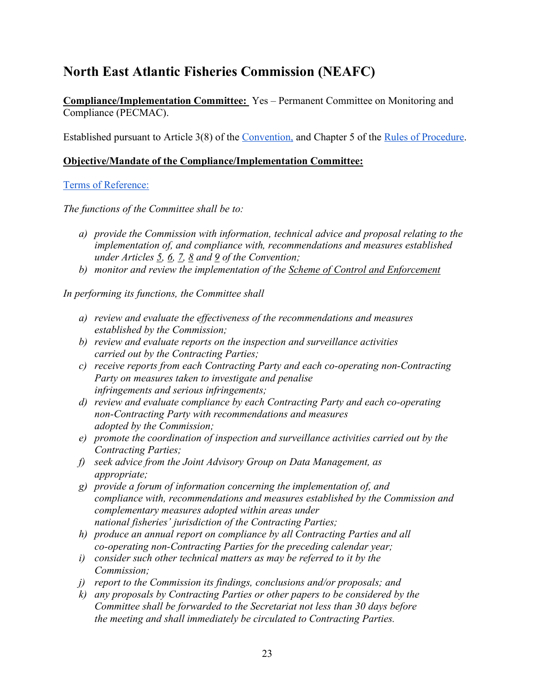# **North East Atlantic Fisheries Commission (NEAFC)**

**Compliance/Implementation Committee:** Yes – Permanent Committee on Monitoring and Compliance (PECMAC).

Established pursuant to Article 3(8) of the Convention, and Chapter 5 of the Rules of Procedure.

### **Objective/Mandate of the Compliance/Implementation Committee:**

## Terms of Reference:

*The functions of the Committee shall be to:*

- *a) provide the Commission with information, technical advice and proposal relating to the implementation of, and compliance with, recommendations and measures established under Articles 5, 6, 7, 8 and 9 of the Convention;*
- *b) monitor and review the implementation of the Scheme of Control and Enforcement*

*In performing its functions, the Committee shall*

- *a) review and evaluate the effectiveness of the recommendations and measures established by the Commission;*
- *b) review and evaluate reports on the inspection and surveillance activities carried out by the Contracting Parties;*
- *c) receive reports from each Contracting Party and each co-operating non-Contracting Party on measures taken to investigate and penalise infringements and serious infringements;*
- *d) review and evaluate compliance by each Contracting Party and each co-operating non-Contracting Party with recommendations and measures adopted by the Commission;*
- *e) promote the coordination of inspection and surveillance activities carried out by the Contracting Parties;*
- *f) seek advice from the Joint Advisory Group on Data Management, as appropriate;*
- *g) provide a forum of information concerning the implementation of, and compliance with, recommendations and measures established by the Commission and complementary measures adopted within areas under national fisheries' jurisdiction of the Contracting Parties;*
- *h) produce an annual report on compliance by all Contracting Parties and all co-operating non-Contracting Parties for the preceding calendar year;*
- *i) consider such other technical matters as may be referred to it by the Commission;*
- *j) report to the Commission its findings, conclusions and/or proposals; and*
- *k) any proposals by Contracting Parties or other papers to be considered by the Committee shall be forwarded to the Secretariat not less than 30 days before the meeting and shall immediately be circulated to Contracting Parties.*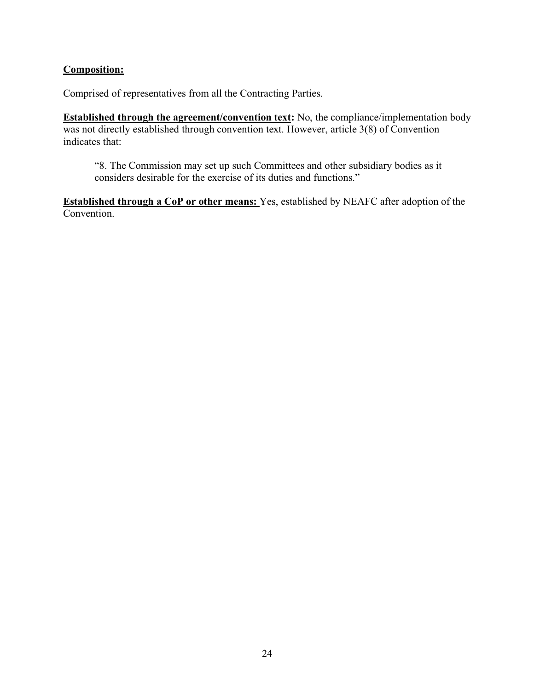### **Composition:**

Comprised of representatives from all the Contracting Parties.

**Established through the agreement/convention text:** No, the compliance/implementation body was not directly established through convention text. However, article 3(8) of Convention indicates that:

"8. The Commission may set up such Committees and other subsidiary bodies as it considers desirable for the exercise of its duties and functions."

**Established through a CoP or other means:** Yes, established by NEAFC after adoption of the Convention.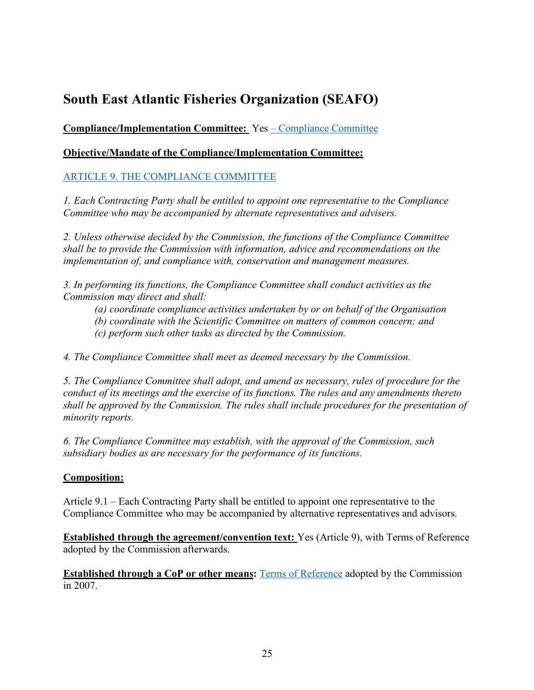# **South East Atlantic Fisheries Organization (SEAFO)**

**Compliance/Implementation Committee:** Yes – Compliance Committee

### **Objective/Mandate of the Compliance/Implementation Committee:**

ARTICLE 9. THE COMPLIANCE COMMITTEE

*1. Each Contracting Party shall be entitled to appoint one representative to the Compliance Committee who may be accompanied by alternate representatives and advisers.*

*2. Unless otherwise decided by the Commission, the functions of the Compliance Committee shall be to provide the Commission with information, advice and recommendations on the implementation of, and compliance with, conservation and management measures.*

*3. In performing its functions, the Compliance Committee shall conduct activities as the Commission may direct and shall:*

- *(a) coordinate compliance activities undertaken by or on behalf of the Organisation*
- *(b) coordinate with the Scientific Committee on matters of common concern; and*
- *(c) perform such other tasks as directed by the Commission.*

*4. The Compliance Committee shall meet as deemed necessary by the Commission.*

*5. The Compliance Committee shall adopt, and amend as necessary, rules of procedure for the conduct of its meetings and the exercise of its functions. The rules and any amendments thereto shall be approved by the Commission. The rules shall include procedures for the presentation of minority reports.*

*6. The Compliance Committee may establish, with the approval of the Commission, such subsidiary bodies as are necessary for the performance of its functions.*

### **Composition:**

Article 9.1 – Each Contracting Party shall be entitled to appoint one representative to the Compliance Committee who may be accompanied by alternative representatives and advisors.

**Established through the agreement/convention text:** Yes (Article 9), with Terms of Reference adopted by the Commission afterwards.

**Established through a CoP or other means: Terms of Reference adopted by the Commission** in 2007.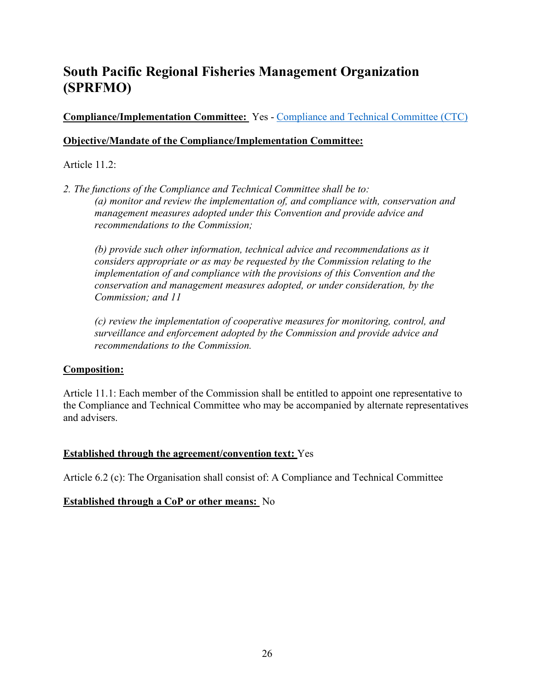# **South Pacific Regional Fisheries Management Organization (SPRFMO)**

**Compliance/Implementation Committee:** Yes - Compliance and Technical Committee (CTC)

## **Objective/Mandate of the Compliance/Implementation Committee:**

Article 11.2:

*2. The functions of the Compliance and Technical Committee shall be to: (a) monitor and review the implementation of, and compliance with, conservation and management measures adopted under this Convention and provide advice and recommendations to the Commission;* 

*(b) provide such other information, technical advice and recommendations as it considers appropriate or as may be requested by the Commission relating to the implementation of and compliance with the provisions of this Convention and the conservation and management measures adopted, or under consideration, by the Commission; and 11* 

*(c) review the implementation of cooperative measures for monitoring, control, and surveillance and enforcement adopted by the Commission and provide advice and recommendations to the Commission.*

## **Composition:**

Article 11.1: Each member of the Commission shall be entitled to appoint one representative to the Compliance and Technical Committee who may be accompanied by alternate representatives and advisers.

## **Established through the agreement/convention text:** Yes

Article 6.2 (c): The Organisation shall consist of: A Compliance and Technical Committee

## **Established through a CoP or other means:** No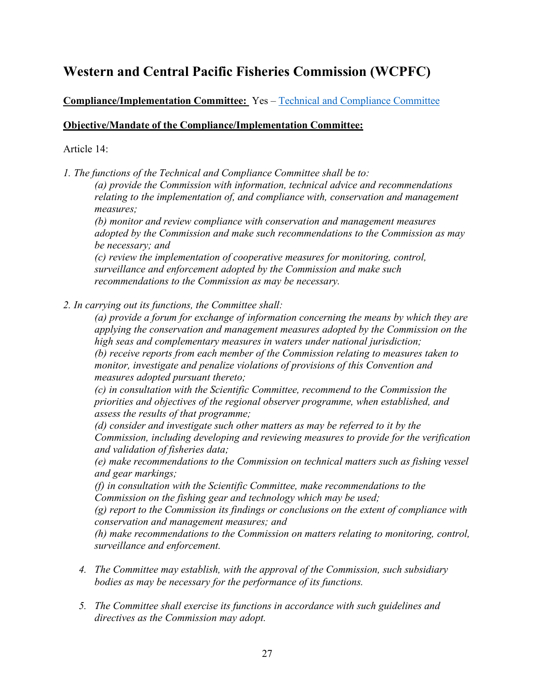# **Western and Central Pacific Fisheries Commission (WCPFC)**

**Compliance/Implementation Committee:** Yes – Technical and Compliance Committee

## **Objective/Mandate of the Compliance/Implementation Committee:**

Article 14:

*1. The functions of the Technical and Compliance Committee shall be to: (a) provide the Commission with information, technical advice and recommendations relating to the implementation of, and compliance with, conservation and management measures;* 

*(b) monitor and review compliance with conservation and management measures adopted by the Commission and make such recommendations to the Commission as may be necessary; and* 

*(c) review the implementation of cooperative measures for monitoring, control, surveillance and enforcement adopted by the Commission and make such recommendations to the Commission as may be necessary.* 

*2. In carrying out its functions, the Committee shall:* 

*(a) provide a forum for exchange of information concerning the means by which they are applying the conservation and management measures adopted by the Commission on the high seas and complementary measures in waters under national jurisdiction; (b) receive reports from each member of the Commission relating to measures taken to* 

*monitor, investigate and penalize violations of provisions of this Convention and measures adopted pursuant thereto;* 

*(c) in consultation with the Scientific Committee, recommend to the Commission the priorities and objectives of the regional observer programme, when established, and assess the results of that programme;* 

*(d) consider and investigate such other matters as may be referred to it by the Commission, including developing and reviewing measures to provide for the verification and validation of fisheries data;* 

*(e) make recommendations to the Commission on technical matters such as fishing vessel and gear markings;* 

*(f) in consultation with the Scientific Committee, make recommendations to the Commission on the fishing gear and technology which may be used;* 

*(g) report to the Commission its findings or conclusions on the extent of compliance with conservation and management measures; and* 

*(h) make recommendations to the Commission on matters relating to monitoring, control, surveillance and enforcement.* 

- *4. The Committee may establish, with the approval of the Commission, such subsidiary bodies as may be necessary for the performance of its functions.*
- *5. The Committee shall exercise its functions in accordance with such guidelines and directives as the Commission may adopt.*